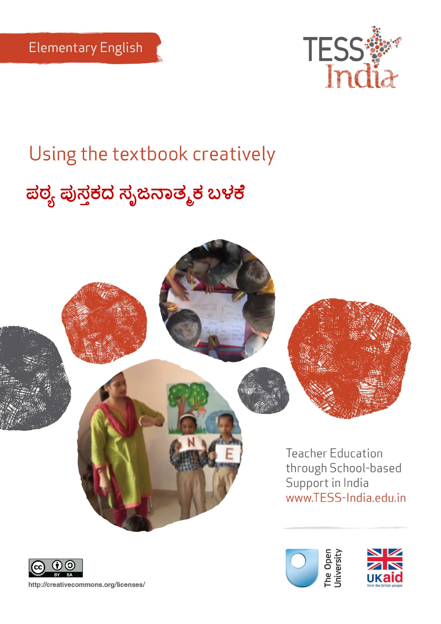

# Using the textbook creatively

# **ಪಠ್ಯ ಪುಸ್ತಕದ ಸ್ೃಜನಾತ್ಮಕ ಬಳಕೆ**







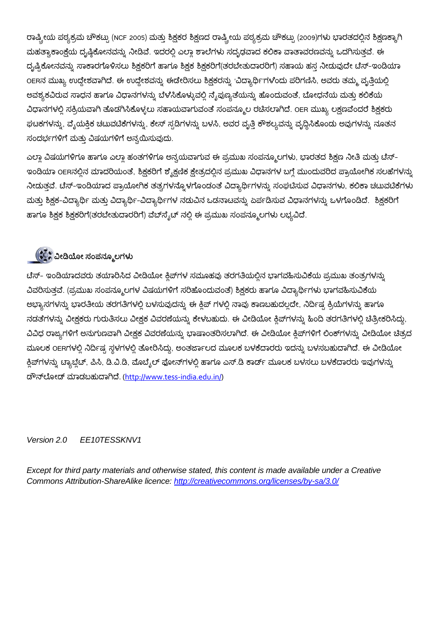ರಾಷ್ಟ್ರೀಯ ಪಠ್ಯಕ್ರಮ ಚೌಕಟ್ಟು (NCF 2005) ಮತ್ತು ಶಿಕ್ಷಕರ ಶಿಕ್ಷಣದ ರಾಷ್ಟ್ರೀಯ ಪಠ್ಯಕ್ರಮ ಚೌಕಟ್ಟು (2009)ಗಳು ಭಾರತದಲ್ಲಿನ ಶಿಕ್ಷಣಕ್ಕಾಗಿ ಮಹತ್ಯಾಕಾಂಕ್ಗೆಯ ದೃಷ್ಠಿಕೋನವನ್ನು ನೀಡಿವೆ. ಇದರಲ್ಲಿ ಎಲ್ಲಾ ಶಾಲೆಗಳು ಸದೃಢವಾದ ಕಲಿಕಾ ವಾತಾವರಣವನ್ನು ಒದಗಿಸುತ್ತವೆ. ಈ ದೃಷ್ಟಿಕೋನವನ್ನು ಸಾಕಾರಗೊಳಿಸಲು ಶಿಕ್ಷಕರಿಗೆ ಹಾಗೂ ಶಿಕ್ಷಕ ಶಿಕ್ಷಕರಿಗೆ(ತರಬೇತುದಾರರಿಗೆ) ಸಹಾಯ ಹಸ್ತ ನೀಡುವುದೇ ಟೆಸ್–ಇಂಡಿಯಾ OERನ ಮುಖ್ಯ ಉದ್ದೇಶವಾಗಿದೆ. ಈ ಉದ್ದೇಶವನ್ನು ಈಡೇರಿಸಲು ಶಿಕ್ಷಕರನ್ನು 'ವಿದ್ಯಾರ್ಥಿ'ಗಳೆಂದು ಪರಿಗಣಿಸಿ, ಅವರು ತಮ್ಮ ವೃತ್ತಿಯಲ್ಲಿ ಅವಶ್ಯಕವಿರುವ ಸಾಧನ ಹಾಗೂ ವಿಧಾನಗಳನ್ನು ಬೆಳೆಸಿಕೊಳ್ಳುವಲ್ಲಿ ನೈಪುಣ್ಯತೆಯನ್ನು ಹೊಂದುವಂತೆ, ಬೋಧನೆಯ ಮತ್ತು ಕಲಿಕೆಯ ವಿಧಾನಗಳಲ್ಲಿ ಸಕ್ರಿಯವಾಗಿ ತೊಡಗಿಸಿಕೊಳ್ಳಲು ಸಹಾಯವಾಗುವಂತೆ ಸಂಪನ್ಮೂಲ ರಚಿಸಲಾಗಿದೆ. OER ಮುಖ್ಯ ಲಕ್ಷಣವೆಂದರೆ ಶಿಕ್ಷಕರು ಘಟಕಗಳನ್ನು, ವೈಯಕ್ತಿಕ ಚಟುವಟಿಕೆಗಳನ್ನು, ಕೇಸ್ ಸ್ಟಡಿಗಳನ್ನು ಬಳಸಿ, ಅವರ ವೃತ್ತಿ ಕೌಶಲ್ಯವನ್ನು ವೃದ್ಧಿಸಿಕೊಂಡು ಅವುಗಳನ್ನು ನೂತನ ಸಂದರ್ಭಗಳಿಗೆ ಮತ್ತು ವಿಷಯಗಳಿಗೆ ಅನ್ವಯಿಸುವುದು.

ಎಲ್ಲಾ ವಿಷಯಗಳಿಗೂ ಹಾಗೂ ಎಲ್ಲಾ ಹಂತಗಳಿಗೂ ಅನ್ವಯವಾಗುವ ಈ ಪ್ರಮುಖ ಸಂಪನ್ಮೂಲಗಳು, ಭಾರತದ ಶಿಕ್ಷಣ ನೀತಿ ಮತ್ತು ಟೆಸ್-ಇಂಡಿಯಾ OERನಲ್ಲಿನ ಮಾದರಿಯಂತೆ, ಶಿಕ್ಷಕರಿಗೆ ಶೈಕ್ಷಣಿಕ ಕ್ಷೇತ್ರದಲ್ಲಿನ ಪ್ರಮುಖ ವಿಧಾನಗಳ ಬಗ್ಗೆ ಮುಂದುವರಿದ ಪ್ರಾಯೋಗಿಕ ಸಲಹೆಗಳನ್ನ ನೀಡುತ್ತವೆ. ಟೆಸ್-ಇಂಡಿಯಾದ ಪ್ರಾಯೋಗಿಕ ತತ್ವಗಳನ್ನೊಳಗೊಂಡಂತೆ ವಿದ್ಯಾರ್ಥಿಗಳನ್ನು ಸಂಘಟಿಸುವ ವಿಧಾನಗಳು, ಕಲಿಕಾ ಚಟುವಟಿಕೆಗಳು ಮತ್ತು ಶಿಕ್ಷಕ-ವಿದ್ಯಾರ್ಥಿ ಮತ್ತು ವಿದ್ಯಾರ್ಥಿ-ವಿದ್ಯಾರ್ಥಿಗಳ ನಡುವಿನ ಒಡನಾಟವನ್ನು ಏರ್ಪಡಿಸುವ ವಿಧಾನಗಳನ್ನು ಒಳಗೊಂಡಿದೆ. ಶಿಕ್ಷಕರಿಗೆ ಹಾಗೂ ಶಿಕ್ಷಕ ಶಿಕ್ಷಕರಿಗೆ(ತರಬೇತುದಾರರಿಗೆ) ವೆಬ್ $\vec{n}$ ್ಯಟ್ ನಲ್ಲಿ ಈ ಪ್ರಮುಖ ಸಂಪನ್ಮೂಲಗಳು ಲಭ್ಯವಿದೆ.

### **ವೀಡಿಯೀ ಸ್ಂಪನ್ಮಮಲಗಳು**

ಟೆಸ್- ಇಂಡಿಯಾದವರು ತಯಾರಿಸಿದ ವೀಡಿಯೋ ಕ್ಲಿಪ್ ಗಳ ಸಮೂಹವು ತರಗತಿಯಲ್ಲಿನ ಭಾಗವಹಿಸುವಿಕೆಯ ಪ್ರಮುಖ ತಂತ್ರಗಳನ್ನು ವಿವರಿಸುತ್ತವೆ. (ಪ್ರಮುಖ ಸಂಪನ್ಮೂಲಗಳ ವಿಷಯಗಳಿಗೆ ಸರಿಹೊಂದುವಂತೆ) ಶಿಕ್ಷಕರು ಹಾಗೂ ವಿದ್ಯಾರ್ಥಿಗಳು ಭಾಗವಹಿಸುವಿಕೆಯ ಅಭ್ಯಾಸಗಳನ್ನು ಭಾರತೀಯ ತರಗತಿಗಳಲ್ಲಿ ಬಳಸುವುದನ್ನು ಈ ಕ್ಲಿಪ್ ಗಳಲ್ಲಿ ನಾವು ಕಾಣಬಹುದಲ್ಲದೇ, ನಿರ್ದಿಷ್ಟ ಕ್ರಿಯೆಗಳನ್ನು ಹಾಗೂ ನಡತೆಗಳನ್ನು ವೀಕ್ಷಕರು ಗುರುತಿಸಲು ವೀಕ್ಷಕ ವಿವರಣೆಯನ್ನು ಕೇಳಬಹುದು. ಈ ವೀಡಿಯೋ ಕ್ಲಿಪ್1ಳನ್ನು ಹಿಂದಿ ತರಗತಿಗಳಲ್ಲಿ ಚಿತ್ರೀಕರಿಸಿದ್ದು, ವಿವಿಧ ರಾಜ್ಯಗಳಿಗೆ ಅನುಗುಣವಾಗಿ ವೀಕ್ಷಕ ವಿವರಣೆಯನ್ನು ಭಾಷಾಂತರಿಸಲಾಗಿದೆ. ಈ ವೀಡಿಯೋ ಕ್ಲಿಪ್1ಗಳಿಗೆ ಲಿಂಕ್1ಳನ್ನು ವೀಡಿಯೋ ಚಿತ್ರದ ಮೂಲಕ OERಗಳಲ್ಲಿ ನಿರ್ದಿಷ್ಟ ಸ್ಥಳಗಳಲ್ಲಿ ತೋರಿಸಿದ್ದು, ಅಂತರ್ಜಾಲದ ಮೂಲಕ ಬಳಕೆದಾರರು ಇದನ್ನು ಬಳಸಬಹುದಾಗಿದೆ. ಈ ವೀಡಿಯೋ ಕ್ಲಿಪ್ ಗಳನ್ನು ಟ್ಯಾಬ್ಹೆಟ್, ಪಿಸಿ, ಡಿ.ವಿ.ಡಿ, ಮೊಬೈಲ್ ಫೋನ್ ಗಳಲ್ಲಿ ಹಾಗೂ ಎಸ್.ಡಿ ಕಾರ್ಡ್ ಮೂಲಕ ಬಳಸಲು ಬಳಕೆದಾರರು ಇವುಗಳನ್ನು ಡೌನ್ಲೋಡ್ ಮಾಡಬಹುದಾಗಿದೆ. [\(http://www.tess-india.edu.in/\)](http://www.tess-india.edu.in/)

#### *Version 2.0 EE10TESSKNV1*

*Except for third party materials and otherwise stated, this content is made available under a Creative Commons Attribution-ShareAlike licence:<http://creativecommons.org/licenses/by-sa/3.0/>*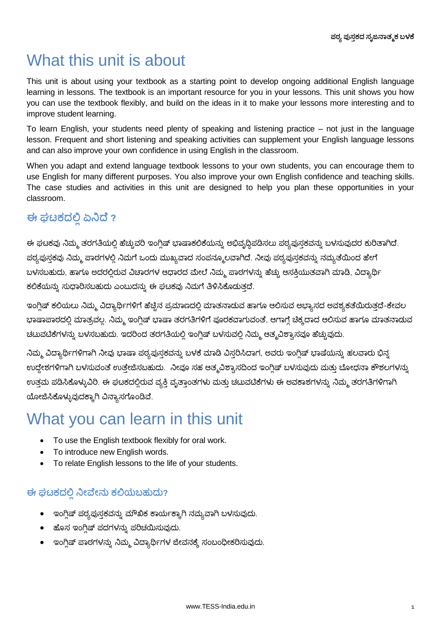# What this unit is about

This unit is about using your textbook as a starting point to develop ongoing additional English language learning in lessons. The textbook is an important resource for you in your lessons. This unit shows you how you can use the textbook flexibly, and build on the ideas in it to make your lessons more interesting and to improve student learning.

To learn English, your students need plenty of speaking and listening practice – not just in the language lesson. Frequent and short listening and speaking activities can supplement your English language lessons and can also improve your own confidence in using English in the classroom.

When you adapt and extend language textbook lessons to your own students, you can encourage them to use English for many different purposes. You also improve your own English confidence and teaching skills. The case studies and activities in this unit are designed to help you plan these opportunities in your classroom.

### **ಈ ಘಟಕದ ಏನಿದೆ ?**

ಈ ಘಟಕವು ನಿಮ್ಮ ತರಗತಿಯಲ್ಲಿ ಹೆಚ್ಚುವರಿ ಇಂಗ್ಲಿಷ್ ಭಾಷಾಕಲಿಕೆಯನ್ನು ಅಭಿವೃದ್ಧಿಪಡಿಸಲು ಪಠ್ಯಪುಸ್ತಕವನ್ನು ಬಳಸುವುದರ ಕುರಿತಾಗಿದೆ. ಪಠ್ಯಪುಸ್ತಕವು ನಿಮ್ಮ ಪಾಠಗಳಲ್ಲಿ ನಿಮಗೆ ಒಂದು ಮುಖ್ಯವಾದ ಸಂಪನ್ಮೂಲವಾಗಿದೆ. ನೀವು ಪಠ್ಯಪುಸ್ತಕವನ್ನು ನಮ್ಯತೆಯಿಂದ ಹೇಗೆ ಬಳಸಬಹುದು, ಹಾಗೂ ಅದರಲ್ಲಿರುವ ವಿಚಾರಗಳ ಆಧಾರದ ಮೇಲೆ ನಿಮ್ಮ ಪಾಠಗಳನ್ನು ಹೆಚ್ಚು ಆಸಕ್ತಿಯುತವಾಗಿ ಮಾಡಿ, ವಿದ್ಯಾರ್ಥ<mark>ಿ</mark> ಕಲಿಕೆಯನ್ನು ಸುಧಾರಿಸಬಹುದು ಎಂಬುದನ್ನು ಈ ಘಟಕವು ನಿಮಗೆ ತಿಳಿಸಿಕೊಡುತ್ತದೆ.

ಇಂಗ್ಲಿಷ್ ಕಲಿಯಲು ನಿಮ್ಮ ವಿದ್ಯಾರ್ಥಿಗಳಿಗೆ ಹೆಚ್ಚಿನ ಪ್ರಮಾಣದಲ್ಲಿ ಮಾತನಾಡುವ ಹಾಗೂ ಆಲಿಸುವ ಅಭ್ಯಾಸದ ಅವಶ್ಯಕತೆಯಿರುತ್ತದೆ-ಕೇವಲ ಭಾಷಾಪಾಠದಲ್ಲಿ ಮಾತ್ರವಲ್ಲ. ನಿಮ್ಮ ಇಂಗ್ಲಿಷ್ ಭಾಷಾ ತರಗತಿಗಳಿಗೆ ಪೂರಕವಾಗುವಂತೆ, ಆಗಾಗ್ಗೆ ಚಿಕ್ಕದಾದ ಆಲಿಸುವ ಹಾಗೂ ಮಾತನಾಡುವ ಚಟುವಟಿಕೆಗಳನ್ನು ಬಳಸಬಹುದು. ಇದರಿಂದ ತರಗತಿಯಲ್ಲಿ ಇಂಗ್ಲಿಷ್ ಬಳಸುವಲ್ಲಿ ನಿಮ್ಮ ಆತ್ಮವಿಶ್ವಾಸವೂ ಹೆಚ್ಚುವುದು.

ನಿಮ್ಮ ವಿದ್ಯಾರ್ಥಿಗಳಿಗಾಗಿ ನೀವು ಭಾಷಾ ಪಠ್ಯಪುಸ್ತಕವನ್ನು ಬಳಕೆ ಮಾಡಿ ವಿಸ್ತರಿಸಿದಾಗ, ಅವರು ಇಂಗ್ಲಿಷ್ ಭಾಷೆಯನ್ನು ಹಲವಾರು ಭಿನ್ನ ಉದ್ದೇಶಗಳಿಗಾಗಿ ಬಳಸುವಂತೆ ಉತ್ತೇಜಿಸಬಹುದು. ನೀವೂ ಸಹ ಆತ್ಮವಿಶ್ವಾಸದಿಂದ ಇಂಗ್ಲಿಷ್ ಬಳಸುವುದು ಮತ್ತು ಬೋಧನಾ ಕೌಶಲಗಳನ್ನು ಉತ್ತಮ ಪಡಿಸಿಕೊಳ್ಳುವಿರಿ. ಈ ಘಟಕದಲ್ಲಿರುವ ವ್ಯಕ್ತಿ ವೃತ್ತಾಂತಗಳು ಮತ್ತು ಚಟುವಟಿಕೆಗಳು ಈ ಅವಕಾಶಗಳನ್ನು ನಿಮ್ಮ ತರಗತಿಗಳಿಗಾಗಿ ಯೋಜಿಸಿಕೊಳ್ಳುವುದಕ್ಕಾಗಿ ವಿನ್ಯಾಸಗೊಂಡಿವೆ.

# What you can learn in this unit

- To use the English textbook flexibly for oral work.
- To introduce new English words.
- To relate English lessons to the life of your students.

#### **ಈ ಘಟಕದಲ್ಲಿ ನಿೀವೆೀನ್ು ಕಲ್ಲಯಬಹುದು?**

- ಇಂಗ್ಲಿಷ್ ಪಠ್ಯಪುಸ್ತಕವನ್ನು ಮೌಖಿಕ ಕಾರ್ಯಕ್ಕಾಗಿ ನಮ್ಯವಾಗಿ ಬಳಸುವುದು.
- $\bullet$  ಹೊಸ ಇಂಗ್ಲಿಷ್ ಪದಗಳನ್ನು ಪರಿಚಯಿಸುವುದು.
- $\bullet$  ಇಂಗ್ಲಿಷ್ ಪಾಠಗಳನ್ನು ನಿಮ್ಮ ವಿದ್ಯಾರ್ಥಿಗಳ ಜೀವನಕ್ಕೆ ಸಂಬಂಧೀಕರಿಸುವುದು.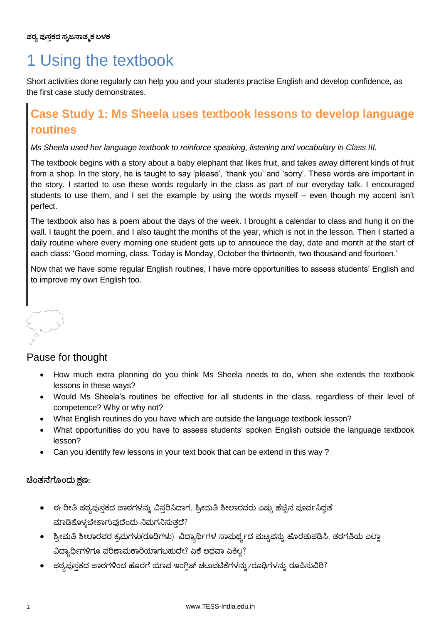# 1 Using the textbook

Short activities done regularly can help you and your students practise English and develop confidence, as the first case study demonstrates.

### **Case Study 1: Ms Sheela uses textbook lessons to develop language routines**

#### *Ms Sheela used her language textbook to reinforce speaking, listening and vocabulary in Class III.*

The textbook begins with a story about a baby elephant that likes fruit, and takes away different kinds of fruit from a shop. In the story, he is taught to say 'please', 'thank you' and 'sorry'. These words are important in the story. I started to use these words regularly in the class as part of our everyday talk. I encouraged students to use them, and I set the example by using the words myself – even though my accent isn"t perfect.

The textbook also has a poem about the days of the week. I brought a calendar to class and hung it on the wall. I taught the poem, and I also taught the months of the year, which is not in the lesson. Then I started a daily routine where every morning one student gets up to announce the day, date and month at the start of each class: "Good morning, class. Today is Monday, October the thirteenth, two thousand and fourteen."

Now that we have some regular English routines, I have more opportunities to assess students" English and to improve my own English too.

#### Pause for thought

- How much extra planning do you think Ms Sheela needs to do, when she extends the textbook lessons in these ways?
- Would Ms Sheela"s routines be effective for all students in the class, regardless of their level of competence? Why or why not?
- What English routines do you have which are outside the language textbook lesson?
- What opportunities do you have to assess students' spoken English outside the language textbook lesson?
- Can you identify few lessons in your text book that can be extend in this way ?

#### **ಚಂತ್ನೆಗೆಮಂದು ಕ್ಷಣ:**

- ಈ ರೀತಿ ಪಠ್ಯಪುಸ್ತಕದ ಪಾಠಗಳನ್ನು ವಿಸ್ತರಿಸಿದಾಗ, ಶ್ರೀಮತಿ ಶೀಲಾರವರು ಎಷ್ಟು ಹೆಚ್ಚಿನ ಪೂರ್ವಸಿದ್ಧತೆ ಮಾಡಿಕೊಳ್ಳಬೇಕಾಗುವುದೆಂದು ನಿಮಗನಿಸುತ್ತದೆ?
- ಶ್ರೀಮತಿ ಶೀಲಾರವರ ಕ್ರಮಗಳು(ರೂಢಿಗಳು) ವಿದ್ಯಾರ್ಥಿಗಳ ಸಾಮರ್ಥ್ಯದ ಮಟ್ಟವನ್ನು ಹೊರತುಪಡಿಸಿ, ತರಗತಿಯ ಎಲ್ಲಾ ವಿದ್ಯಾರ್ಥಿಗಳಿಗೂ ಪರಿಣಾಮಕಾರಿಯಾಗಬಹುದೇ? ಏಕೆ ಆಥವಾ ಏಕಿಲ್ಲ?
- ್ದಠ್ಯಪುಸ್ತಕದ ಪಾಠಗಳಿಂದ ಹೊರಗೆ ಯಾವ ಇಂಗ್ಲಿಷ್ ಚಟುವಟಿಕೆಗಳನ್ನು ⁄ರೂಢಿಗಳನ್ನು ರೂಪಿಸುವಿರಿ?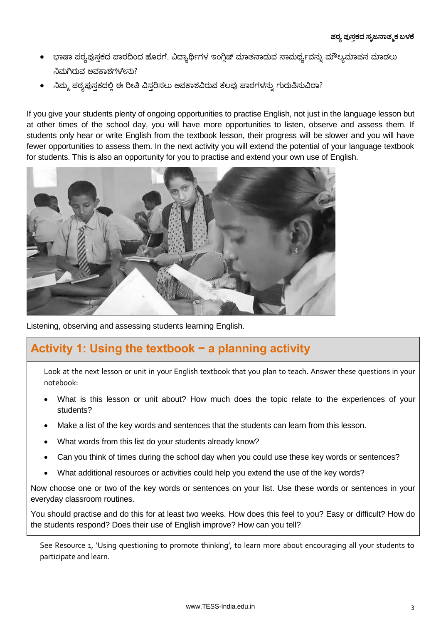- ಭಾಷಾ ಪಠ್ಯಪುಸ್ತಕದ ಪಾಠದಿಂದ ಹೊರಗೆ, ವಿದ್ಯಾರ್ಥಿಗಳ ಇಂಗ್ಲಿಷ್ ಮಾತನಾಡುವ ಸಾಮರ್ಥ್ಯವನ್ನು ಮೌಲ್ಯಮಾಪನ ಮಾಡಲು ನಿಮಗಿರುವ ಅವಕಾಶಗಳೇನು?
- ನಿಮ್ಮ ಪಠ್ಯಪುಸಕದಲ್ಲಿ ಈ ರೀತಿ ವಿಸರಿಸಲು ಅವಕಾಶವಿರುವ ಕೆಲವು ಪಾಠಗಳನ್ನು ಗುರುತಿಸುವಿರಾ?

If you give your students plenty of ongoing opportunities to practise English, not just in the language lesson but at other times of the school day, you will have more opportunities to listen, observe and assess them. If students only hear or write English from the textbook lesson, their progress will be slower and you will have fewer opportunities to assess them. In the next activity you will extend the potential of your language textbook for students. This is also an opportunity for you to practise and extend your own use of English.



Listening, observing and assessing students learning English.

### **Activity 1: Using the textbook − a planning activity**

Look at the next lesson or unit in your English textbook that you plan to teach. Answer these questions in your notebook:

- What is this lesson or unit about? How much does the topic relate to the experiences of your students?
- Make a list of the key words and sentences that the students can learn from this lesson.
- What words from this list do your students already know?
- Can you think of times during the school day when you could use these key words or sentences?
- What additional resources or activities could help you extend the use of the key words?

Now choose one or two of the key words or sentences on your list. Use these words or sentences in your everyday classroom routines.

You should practise and do this for at least two weeks. How does this feel to you? Easy or difficult? How do the students respond? Does their use of English improve? How can you tell?

See Resource 1, 'Using questioning to promote thinking', to learn more about encouraging all your students to participate and learn.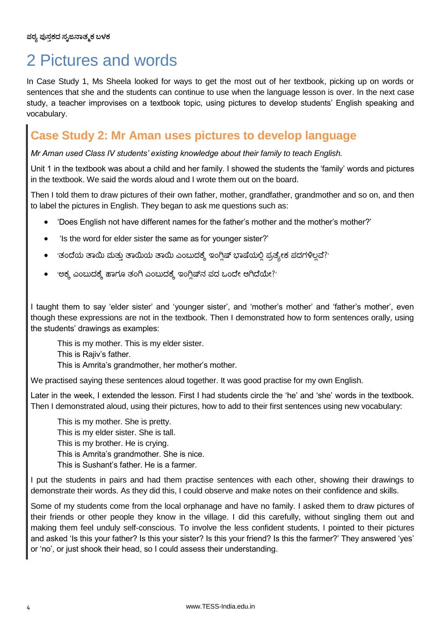# 2 Pictures and words

In Case Study 1, Ms Sheela looked for ways to get the most out of her textbook, picking up on words or sentences that she and the students can continue to use when the language lesson is over. In the next case study, a teacher improvises on a textbook topic, using pictures to develop students" English speaking and vocabulary.

### **Case Study 2: Mr Aman uses pictures to develop language**

*Mr Aman used Class IV students' existing knowledge about their family to teach English.*

Unit 1 in the textbook was about a child and her family. I showed the students the "family" words and pictures in the textbook. We said the words aloud and I wrote them out on the board.

Then I told them to draw pictures of their own father, mother, grandfather, grandmother and so on, and then to label the pictures in English. They began to ask me questions such as:

- "Does English not have different names for the father"s mother and the mother"s mother?"
- 'Is the word for elder sister the same as for younger sister?'
- $\bullet$  'ತಂದೆಯ ತಾಯಿ ಮತ್ತು ತಾಯಿಯ ತಾಯಿ ಎಂಬುದಕ್ಕೆ ಇಂಗ್ಲಿಷ್ ಭಾಷೆಯಲ್ಲಿ ಪ್ರತ್ಯೇಕ ಪದಗಳಿಲ್ಲವೆ?'
- 'ಅಕ್ಕ ಎಂಬುದಕ್ಕೆ ಹಾಗೂ ತಂಗಿ ಎಂಬುದಕ್ಕೆ ಇಂಗ್ಲಿಷ್<code>ನ</code> ಪದ ಒಂದೇ ಆಗಿದೆಯೇ?'

I taught them to say 'elder sister' and 'younger sister', and 'mother's mother' and 'father's mother', even though these expressions are not in the textbook. Then I demonstrated how to form sentences orally, using the students" drawings as examples:

This is my mother. This is my elder sister. This is Rajiv's father. This is Amrita's grandmother, her mother's mother.

We practised saying these sentences aloud together. It was good practise for my own English.

Later in the week, I extended the lesson. First I had students circle the 'he' and 'she' words in the textbook. Then I demonstrated aloud, using their pictures, how to add to their first sentences using new vocabulary:

This is my mother. She is pretty. This is my elder sister. She is tall. This is my brother. He is crying. This is Amrita"s grandmother. She is nice. This is Sushant"s father. He is a farmer.

I put the students in pairs and had them practise sentences with each other, showing their drawings to demonstrate their words. As they did this, I could observe and make notes on their confidence and skills.

Some of my students come from the local orphanage and have no family. I asked them to draw pictures of their friends or other people they know in the village. I did this carefully, without singling them out and making them feel unduly self-conscious. To involve the less confident students, I pointed to their pictures and asked 'Is this your father? Is this your sister? Is this your friend? Is this the farmer?' They answered 'yes' or "no", or just shook their head, so I could assess their understanding.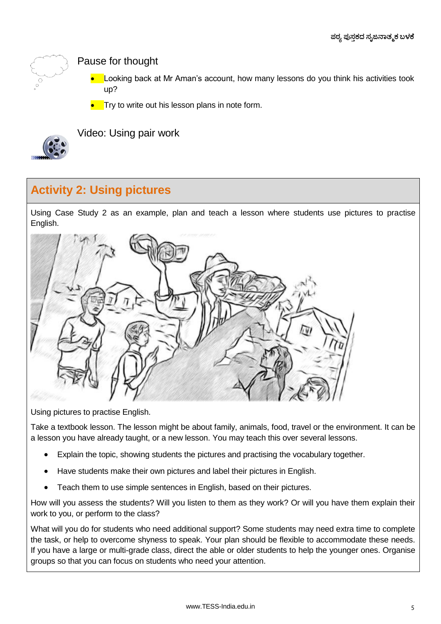

Pause for thought

- Looking back at Mr Aman"s account, how many lessons do you think his activities took up?
- Try to write out his lesson plans in note form.



Video: Using pair work

### **Activity 2: Using pictures**

Using Case Study 2 as an example, plan and teach a lesson where students use pictures to practise English.



Using pictures to practise English.

Take a textbook lesson. The lesson might be about family, animals, food, travel or the environment. It can be a lesson you have already taught, or a new lesson. You may teach this over several lessons.

- Explain the topic, showing students the pictures and practising the vocabulary together.
- Have students make their own pictures and label their pictures in English.
- Teach them to use simple sentences in English, based on their pictures.

How will you assess the students? Will you listen to them as they work? Or will you have them explain their work to you, or perform to the class?

What will you do for students who need additional support? Some students may need extra time to complete the task, or help to overcome shyness to speak. Your plan should be flexible to accommodate these needs. If you have a large or multi-grade class, direct the able or older students to help the younger ones. Organise groups so that you can focus on students who need your attention.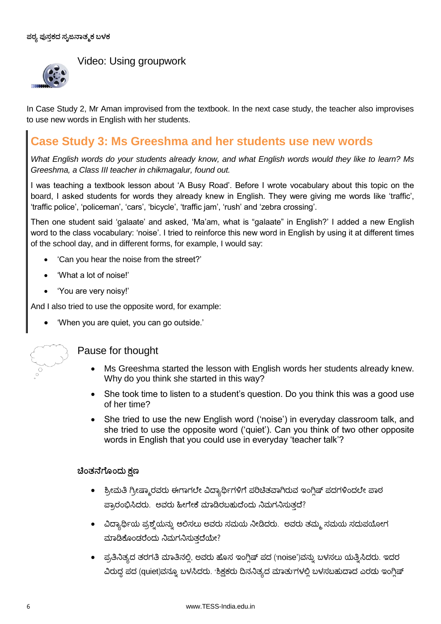

#### Video: Using groupwork

In Case Study 2, Mr Aman improvised from the textbook. In the next case study, the teacher also improvises to use new words in English with her students.

#### **Case Study 3: Ms Greeshma and her students use new words**

*What English words do your students already know, and what English words would they like to learn? Ms Greeshma, a Class III teacher in chikmagalur, found out.* 

I was teaching a textbook lesson about "A Busy Road". Before I wrote vocabulary about this topic on the board, I asked students for words they already knew in English. They were giving me words like "traffic", "traffic police", 'policeman', 'cars', 'bicycle', 'traffic jam', 'rush' and 'zebra crossing'.

Then one student said "galaate" and asked, "Ma"am, what is "galaate" in English?" I added a new English word to the class vocabulary: 'noise'. I tried to reinforce this new word in English by using it at different times of the school day, and in different forms, for example, I would say:

- "Can you hear the noise from the street?"
- "What a lot of noise!"
- "You are very noisy!"

And I also tried to use the opposite word, for example:

"When you are quiet, you can go outside."



#### Pause for thought

- Ms Greeshma started the lesson with English words her students already knew. Why do you think she started in this way?
- She took time to listen to a student's question. Do you think this was a good use of her time?
- She tried to use the new English word ('noise') in everyday classroom talk, and she tried to use the opposite word ("quiet"). Can you think of two other opposite words in English that you could use in everyday "teacher talk"?

#### **ಚಂತ್ನೆಗೆಮಂದು ಕ್ಷಣ**

- ಶ್ರೀಮತಿ ಗ್ರೀಷ್ಮಾರವರು ಈಗಾಗಲೇ ವಿದ್ಯಾರ್ಥಿಗಳಿಗೆ ಪರಿಚಿತವಾಗಿರುವ ಇಂಗ್ಲಿಷ್ ಪದಗಳಿಂದಲೇ ಪಾಠ ಹ್ರಾರಂಭಿಸಿದರು. ಅವರು ಹೀಗೇಕೆ ಮಾಡಿರಬಹುದೆಂದು ನಿಮಗನಿಸುತ್ತದೆ?
- ವಿದ್ಯಾರ್ಥಿಯ ಪ್ರಶ್ನೆಯನ್ನು ಆಲಿಸಲು ಅವರು ಸಮಯ ನೀಡಿದರು. ಅವರು ತಮ್ಮ ಸಮಯ ಸದುಪಯೋಗ ಮಾಡಿಕೊಂಡರೆಂದು ನಿಮಗನಿಸುತ್ತದೆಯೇ?
- ಪ್ರತಿನಿತ್ಯದ ತರಗತಿ ಮಾತಿನಲ್ಲಿ, ಅವರು ಹೊಸ ಇಂಗ್ಲಿಷ್ ಪದ ('noise')ವನ್ನು ಬಳಸಲು ಯತ್ತಿಸಿದರು. ಇದರ ವಿರುದ್ಧ ಪದ (quiet)ವನ್ನೂ ಬಳಸಿದರು. 'ಶಿಕ್ಷಕರು ದಿನನಿತ್ಯದ ಮಾತು<sup>,</sup>ಗಳಲ್ಲಿ ಬಳಸಬಹುದಾದ ಎರಡು ಇಂಗ್ಲಿಷ್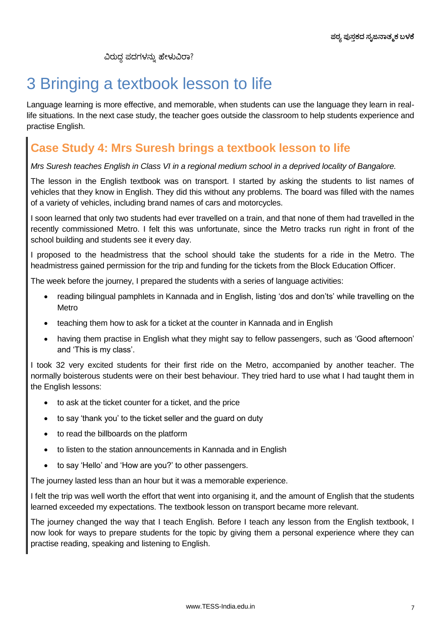ವಿರುದ್ಧ ಪದಗಳನ್ನು ಹೇಳುವಿರಾ?

# 3 Bringing a textbook lesson to life

Language learning is more effective, and memorable, when students can use the language they learn in reallife situations. In the next case study, the teacher goes outside the classroom to help students experience and practise English.

### **Case Study 4: Mrs Suresh brings a textbook lesson to life**

*Mrs Suresh teaches English in Class VI in a regional medium school in a deprived locality of Bangalore.* 

The lesson in the English textbook was on transport. I started by asking the students to list names of vehicles that they know in English. They did this without any problems. The board was filled with the names of a variety of vehicles, including brand names of cars and motorcycles.

I soon learned that only two students had ever travelled on a train, and that none of them had travelled in the recently commissioned Metro. I felt this was unfortunate, since the Metro tracks run right in front of the school building and students see it every day.

I proposed to the headmistress that the school should take the students for a ride in the Metro. The headmistress gained permission for the trip and funding for the tickets from the Block Education Officer.

The week before the journey, I prepared the students with a series of language activities:

- reading bilingual pamphlets in Kannada and in English, listing 'dos and don'ts' while travelling on the Metro
- teaching them how to ask for a ticket at the counter in Kannada and in English
- having them practise in English what they might say to fellow passengers, such as 'Good afternoon' and 'This is my class'.

I took 32 very excited students for their first ride on the Metro, accompanied by another teacher. The normally boisterous students were on their best behaviour. They tried hard to use what I had taught them in the English lessons:

- to ask at the ticket counter for a ticket, and the price
- to say 'thank you' to the ticket seller and the guard on duty
- to read the billboards on the platform
- to listen to the station announcements in Kannada and in English
- to say 'Hello' and 'How are you?' to other passengers.

The journey lasted less than an hour but it was a memorable experience.

I felt the trip was well worth the effort that went into organising it, and the amount of English that the students learned exceeded my expectations. The textbook lesson on transport became more relevant.

The journey changed the way that I teach English. Before I teach any lesson from the English textbook, I now look for ways to prepare students for the topic by giving them a personal experience where they can practise reading, speaking and listening to English.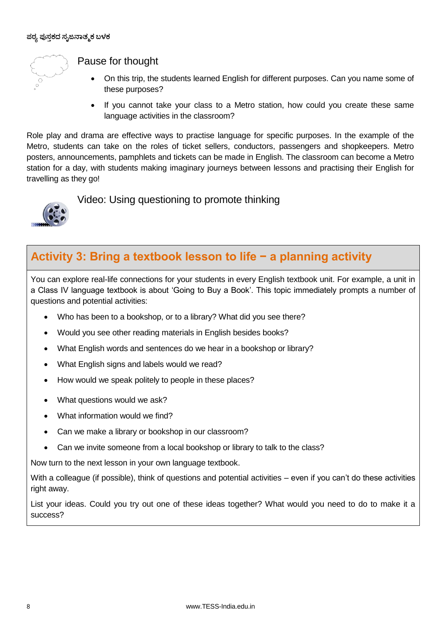

Pause for thought

- On this trip, the students learned English for different purposes. Can you name some of these purposes?
- If you cannot take your class to a Metro station, how could you create these same language activities in the classroom?

Role play and drama are effective ways to practise language for specific purposes. In the example of the Metro, students can take on the roles of ticket sellers, conductors, passengers and shopkeepers. Metro posters, announcements, pamphlets and tickets can be made in English. The classroom can become a Metro station for a day, with students making imaginary journeys between lessons and practising their English for travelling as they go!



Video: Using questioning to promote thinking

### **Activity 3: Bring a textbook lesson to life − a planning activity**

You can explore real-life connections for your students in every English textbook unit. For example, a unit in a Class IV language textbook is about "Going to Buy a Book". This topic immediately prompts a number of questions and potential activities:

- Who has been to a bookshop, or to a library? What did you see there?
- Would you see other reading materials in English besides books?
- What English words and sentences do we hear in a bookshop or library?
- What English signs and labels would we read?
- How would we speak politely to people in these places?
- What questions would we ask?
- What information would we find?
- Can we make a library or bookshop in our classroom?
- Can we invite someone from a local bookshop or library to talk to the class?

Now turn to the next lesson in your own language textbook.

With a colleague (if possible), think of questions and potential activities – even if you can"t do these activities right away.

List your ideas. Could you try out one of these ideas together? What would you need to do to make it a success?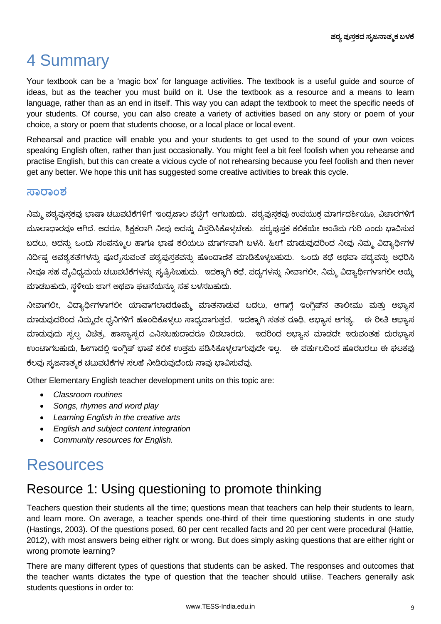# 4 Summary

Your textbook can be a "magic box" for language activities. The textbook is a useful guide and source of ideas, but as the teacher you must build on it. Use the textbook as a resource and a means to learn language, rather than as an end in itself. This way you can adapt the textbook to meet the specific needs of your students. Of course, you can also create a variety of activities based on any story or poem of your choice, a story or poem that students choose, or a local place or local event.

Rehearsal and practice will enable you and your students to get used to the sound of your own voices speaking English often, rather than just occasionally. You might feel a bit feel foolish when you rehearse and practise English, but this can create a vicious cycle of not rehearsing because you feel foolish and then never get any better. We hope this unit has suggested some creative activities to break this cycle.

#### **ಸಾರಾಂಶ**

ನಿಮ್ಮ ಪಠ್ಯಪುಸ್ತಕವು ಭಾಷಾ ಚಟುವಟಿಕೆಗಳಿಗೆ 'ಇಂದ್ರಜಾಲ ಪೆಟ್ಟಿಗೆ' ಆಗಬಹುದು. ಪಠ್ಯಪುಸ್ತಕವು ಉಪಯುಕ್ತ ಮಾರ್ಗದರ್ಶಿಯೂ, ವಿಚಾರಗಳಿಗೆ ಮೂಲಾಧಾರವೂ ಆಗಿದೆ. ಆದರೂ, ಶಿಕ್ಷಕರಾಗಿ ನೀವು ಅದನ್ನು ವಿಸ್ತರಿಸಿಕೊಳ್ಳಬೇಕು. ಪಠ್ಯಪುಸ್ತಕ ಕಲಿಕೆಯೇ ಅಂತಿಮ ಗುರಿ ಎಂದು ಭಾವಿಸುವ ಬದಲು, ಅದನ್ನು ಒಂದು ಸಂಪನ್ಮೂಲ ಹಾಗೂ ಭಾಷೆ ಕಲಿಯಲು ಮಾರ್ಗವಾಗಿ ಬಳಸಿ. ಹೀಗೆ ಮಾಡುವುದರಿಂದ ನೀವು ನಿಮ್ಮ ವಿದ್ಯಾರ್ಥಿಗಳ ನಿರ್ದಿಷ್ಠ ಅವಶ್ಯಕತೆಗಳನ್ನು ಪೂರೈಸುವಂತೆ ಪಠ್ಯಪುಸ್ತಕವನ್ನು ಹೊಂದಾಣಿಕೆ ಮಾಡಿಕೊಳ್ಳಬಹುದು. ಒಂದು ಕಥೆ ಅಥವಾ ಪದ್ಯವನ್ನು ಆಧರಿಸಿ ನೀವೂ ಸಹ ವ್ಯೆವಿಧ್ಯಮಯ ಚಟುವಟಿಕೆಗಳನ್ನು ಸೃಷ್ಟಿಸಿಬಹುದು. ಇದಕ್ಕಾಗಿ ಕಥೆ, ಪದ್ಯಗಳನ್ನು ನೀವಾಗಲೀ, ನಿಮ್ಮ ವಿದ್ಯಾರ್ಥಿಗಳಾಗಲೀ ಆಯ್ಕೆ ಮಾಡಬಹುದು, ಸ್ಥಳೀಯ ಜಾಗ ಅಥವಾ ಘಟನೆಯನ್ನೂ ಸಹ ಬಳಸಬಹುದು.

ನೀವಾಗಲೀ, ವಿದ್ಯಾರ್ಥಿಗಳಾಗಲೀ ಯಾವಾಗಲಾದರೊಮ್ಮೆ ಮಾತನಾಡುವ ಬದಲು, ಆಗಾಗೆ ಇಂಗಿಷ್**ನ ತಾಲೀಮು ಮತು ಅಭ್ಯಾಸ** ಮಾಡುವುದರಿಂದ ನಿಮ್ಮದೇ ಧ್ವನಿಗಳಿಗೆ ಹೊಂದಿಕೊಳ್ಳಲು ಸಾಧ್ಯವಾಗುತ್ತದೆ. ಇದಕ್ಕಾಗಿ ಸತತ ರೂಢಿ, ಅಭ್ಯಾಸ ಅಗತ್ಯ. ಈ ರೀತಿ ಅಭ್ಯಾಸ ಮಾಡುವುದು ಸ್ವಲ್ಪ ವಿಚಿತ್ರ, ಹಾಸ್ಯಾಸ್ಸದ ಎನಿಸಬಹುದಾದರೂ ಬಿಡಬಾರದು. ಇದರಿಂದ ಅಭ್ಯಾಸ ಮಾಡದೇ ಇರುವಂತಹ ದುರಭ್ಯಾಸ ಉಂಟಾಗಬಹುದು, ಹೀಗಾದಲಿ ಇಂಗಿಷ್ ಭಾಷೆ ಕಲಿಕೆ ಉತಮ ಪಡಿಸಿಕೊಳ್ಳಲಾಗುವುದೇ ಇಲ. ಈ ವರ್ತುಲದಿಂದ ಹೊರಬರಲು ಈ ಘಟಕ್ಕವು ಕೆಲವು ಸ್ಪಜನಾತ್ಮಕ ಚಟುವಟಿಕೆಗಳ ಸಲಹೆ ನೀಡಿರುವುದೆಂದು ನಾವು ಭಾವಿಸುವೆವು.

Other Elementary English teacher development units on this topic are:

- *Classroom routines*
- *Songs, rhymes and word play*
- *Learning English in the creative arts*
- *English and subject content integration*
- *Community resources for English.*

### Resources

### Resource 1: Using questioning to promote thinking

Teachers question their students all the time; questions mean that teachers can help their students to learn, and learn more. On average, a teacher spends one-third of their time questioning students in one study (Hastings, 2003). Of the questions posed, 60 per cent recalled facts and 20 per cent were procedural (Hattie, 2012), with most answers being either right or wrong. But does simply asking questions that are either right or wrong promote learning?

There are many different types of questions that students can be asked. The responses and outcomes that the teacher wants dictates the type of question that the teacher should utilise. Teachers generally ask students questions in order to: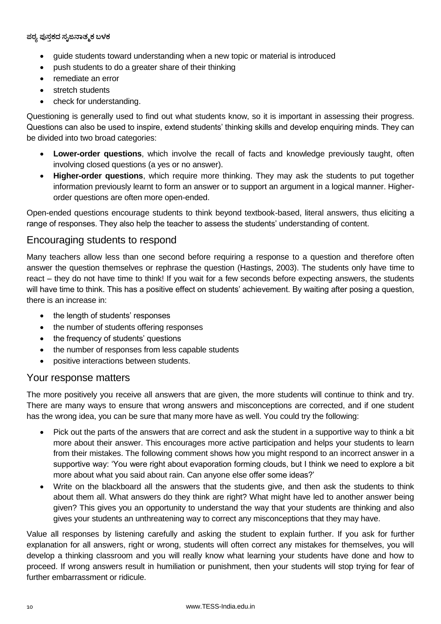**ಪಠ್ಯ ಪುಸ್ತಕದ ಸ್ೃಜನಾತ್ಮಕ ಬಳಕ**

- guide students toward understanding when a new topic or material is introduced
- push students to do a greater share of their thinking
- remediate an error
- stretch students
- check for understanding.

Questioning is generally used to find out what students know, so it is important in assessing their progress. Questions can also be used to inspire, extend students" thinking skills and develop enquiring minds. They can be divided into two broad categories:

- **Lower-order questions**, which involve the recall of facts and knowledge previously taught, often involving closed questions (a yes or no answer).
- **Higher-order questions**, which require more thinking. They may ask the students to put together information previously learnt to form an answer or to support an argument in a logical manner. Higherorder questions are often more open-ended.

Open-ended questions encourage students to think beyond textbook-based, literal answers, thus eliciting a range of responses. They also help the teacher to assess the students" understanding of content.

#### Encouraging students to respond

Many teachers allow less than one second before requiring a response to a question and therefore often answer the question themselves or rephrase the question (Hastings, 2003). The students only have time to react – they do not have time to think! If you wait for a few seconds before expecting answers, the students will have time to think. This has a positive effect on students' achievement. By waiting after posing a question, there is an increase in:

- the length of students' responses
- the number of students offering responses
- the frequency of students' questions
- the number of responses from less capable students
- positive interactions between students.

#### Your response matters

The more positively you receive all answers that are given, the more students will continue to think and try. There are many ways to ensure that wrong answers and misconceptions are corrected, and if one student has the wrong idea, you can be sure that many more have as well. You could try the following:

- Pick out the parts of the answers that are correct and ask the student in a supportive way to think a bit more about their answer. This encourages more active participation and helps your students to learn from their mistakes. The following comment shows how you might respond to an incorrect answer in a supportive way: "You were right about evaporation forming clouds, but I think we need to explore a bit more about what you said about rain. Can anyone else offer some ideas?"
- Write on the blackboard all the answers that the students give, and then ask the students to think about them all. What answers do they think are right? What might have led to another answer being given? This gives you an opportunity to understand the way that your students are thinking and also gives your students an unthreatening way to correct any misconceptions that they may have.

Value all responses by listening carefully and asking the student to explain further. If you ask for further explanation for all answers, right or wrong, students will often correct any mistakes for themselves, you will develop a thinking classroom and you will really know what learning your students have done and how to proceed. If wrong answers result in humiliation or punishment, then your students will stop trying for fear of further embarrassment or ridicule.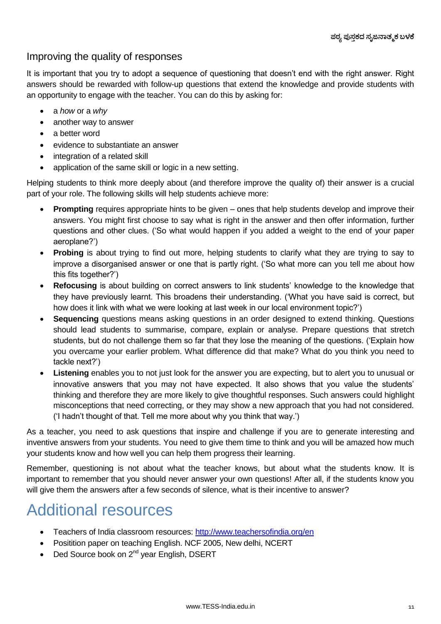#### Improving the quality of responses

It is important that you try to adopt a sequence of questioning that doesn"t end with the right answer. Right answers should be rewarded with follow-up questions that extend the knowledge and provide students with an opportunity to engage with the teacher. You can do this by asking for:

- a *how* or a *why*
- another way to answer
- a better word
- evidence to substantiate an answer
- integration of a related skill
- application of the same skill or logic in a new setting.

Helping students to think more deeply about (and therefore improve the quality of) their answer is a crucial part of your role. The following skills will help students achieve more:

- **Prompting** requires appropriate hints to be given ones that help students develop and improve their answers. You might first choose to say what is right in the answer and then offer information, further questions and other clues. ("So what would happen if you added a weight to the end of your paper aeroplane?")
- **Probing** is about trying to find out more, helping students to clarify what they are trying to say to improve a disorganised answer or one that is partly right. ("So what more can you tell me about how this fits together?")
- **Refocusing** is about building on correct answers to link students" knowledge to the knowledge that they have previously learnt. This broadens their understanding. ("What you have said is correct, but how does it link with what we were looking at last week in our local environment topic?")
- **Sequencing** questions means asking questions in an order designed to extend thinking. Questions should lead students to summarise, compare, explain or analyse. Prepare questions that stretch students, but do not challenge them so far that they lose the meaning of the questions. ("Explain how you overcame your earlier problem. What difference did that make? What do you think you need to tackle next?")
- **Listening** enables you to not just look for the answer you are expecting, but to alert you to unusual or innovative answers that you may not have expected. It also shows that you value the students" thinking and therefore they are more likely to give thoughtful responses. Such answers could highlight misconceptions that need correcting, or they may show a new approach that you had not considered. ("I hadn"t thought of that. Tell me more about why you think that way.")

As a teacher, you need to ask questions that inspire and challenge if you are to generate interesting and inventive answers from your students. You need to give them time to think and you will be amazed how much your students know and how well you can help them progress their learning.

Remember, questioning is not about what the teacher knows, but about what the students know. It is important to remember that you should never answer your own questions! After all, if the students know you will give them the answers after a few seconds of silence, what is their incentive to answer?

# Additional resources

- Teachers of India classroom resources:<http://www.teachersofindia.org/en>
- Positition paper on teaching English. NCF 2005, New delhi, NCERT
- $\bullet$  Ded Source book on 2<sup>nd</sup> year English, DSERT